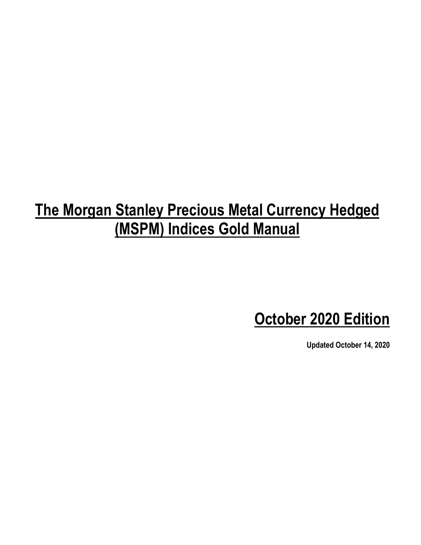# **The Morgan Stanley Precious Metal Currency Hedged (MSPM) Indices Gold Manual**

**October 2020 Edition**

**Updated October 14, 2020**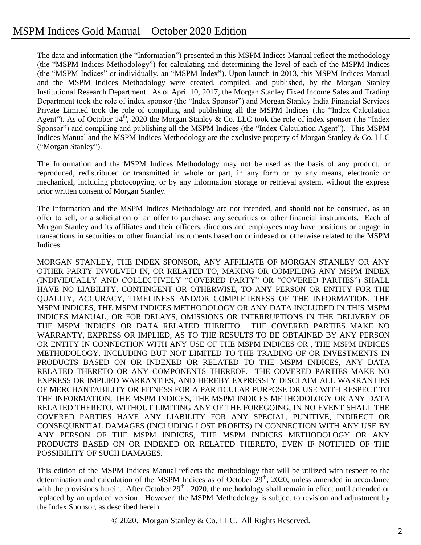The data and information (the "Information") presented in this MSPM Indices Manual reflect the methodology (the "MSPM Indices Methodology") for calculating and determining the level of each of the MSPM Indices (the "MSPM Indices" or individually, an "MSPM Index"). Upon launch in 2013, this MSPM Indices Manual and the MSPM Indices Methodology were created, compiled, and published, by the Morgan Stanley Institutional Research Department. As of April 10, 2017, the Morgan Stanley Fixed Income Sales and Trading Department took the role of index sponsor (the "Index Sponsor") and Morgan Stanley India Financial Services Private Limited took the role of compiling and publishing all the MSPM Indices (the "Index Calculation Agent"). As of October  $14<sup>th</sup>$ , 2020 the Morgan Stanley & Co. LLC took the role of index sponsor (the "Index") Sponsor") and compiling and publishing all the MSPM Indices (the "Index Calculation Agent"). This MSPM Indices Manual and the MSPM Indices Methodology are the exclusive property of Morgan Stanley & Co. LLC ("Morgan Stanley").

The Information and the MSPM Indices Methodology may not be used as the basis of any product, or reproduced, redistributed or transmitted in whole or part, in any form or by any means, electronic or mechanical, including photocopying, or by any information storage or retrieval system, without the express prior written consent of Morgan Stanley.

The Information and the MSPM Indices Methodology are not intended, and should not be construed, as an offer to sell, or a solicitation of an offer to purchase, any securities or other financial instruments. Each of Morgan Stanley and its affiliates and their officers, directors and employees may have positions or engage in transactions in securities or other financial instruments based on or indexed or otherwise related to the MSPM Indices.

MORGAN STANLEY, THE INDEX SPONSOR, ANY AFFILIATE OF MORGAN STANLEY OR ANY OTHER PARTY INVOLVED IN, OR RELATED TO, MAKING OR COMPILING ANY MSPM INDEX (INDIVIDUALLY AND COLLECTIVELY "COVERED PARTY" OR "COVERED PARTIES") SHALL HAVE NO LIABILITY, CONTINGENT OR OTHERWISE, TO ANY PERSON OR ENTITY FOR THE QUALITY, ACCURACY, TIMELINESS AND/OR COMPLETENESS OF THE INFORMATION, THE MSPM INDICES, THE MSPM INDICES METHODOLOGY OR ANY DATA INCLUDED IN THIS MSPM INDICES MANUAL, OR FOR DELAYS, OMISSIONS OR INTERRUPTIONS IN THE DELIVERY OF THE MSPM INDICES OR DATA RELATED THERETO. THE COVERED PARTIES MAKE NO WARRANTY, EXPRESS OR IMPLIED, AS TO THE RESULTS TO BE OBTAINED BY ANY PERSON OR ENTITY IN CONNECTION WITH ANY USE OF THE MSPM INDICES OR , THE MSPM INDICES METHODOLOGY, INCLUDING BUT NOT LIMITED TO THE TRADING OF OR INVESTMENTS IN PRODUCTS BASED ON OR INDEXED OR RELATED TO THE MSPM INDICES, ANY DATA RELATED THERETO OR ANY COMPONENTS THEREOF. THE COVERED PARTIES MAKE NO EXPRESS OR IMPLIED WARRANTIES, AND HEREBY EXPRESSLY DISCLAIM ALL WARRANTIES OF MERCHANTABILITY OR FITNESS FOR A PARTICULAR PURPOSE OR USE WITH RESPECT TO THE INFORMATION, THE MSPM INDICES, THE MSPM INDICES METHODOLOGY OR ANY DATA RELATED THERETO. WITHOUT LIMITING ANY OF THE FOREGOING, IN NO EVENT SHALL THE COVERED PARTIES HAVE ANY LIABILITY FOR ANY SPECIAL, PUNITIVE, INDIRECT OR CONSEQUENTIAL DAMAGES (INCLUDING LOST PROFITS) IN CONNECTION WITH ANY USE BY ANY PERSON OF THE MSPM INDICES, THE MSPM INDICES METHODOLOGY OR ANY PRODUCTS BASED ON OR INDEXED OR RELATED THERETO, EVEN IF NOTIFIED OF THE POSSIBILITY OF SUCH DAMAGES.

This edition of the MSPM Indices Manual reflects the methodology that will be utilized with respect to the determination and calculation of the MSPM Indices as of October  $29<sup>th</sup>$ , 2020, unless amended in accordance with the provisions herein. After October  $29<sup>th</sup>$ , 2020, the methodology shall remain in effect until amended or replaced by an updated version. However, the MSPM Methodology is subject to revision and adjustment by the Index Sponsor, as described herein.

© 2020. Morgan Stanley & Co. LLC. All Rights Reserved.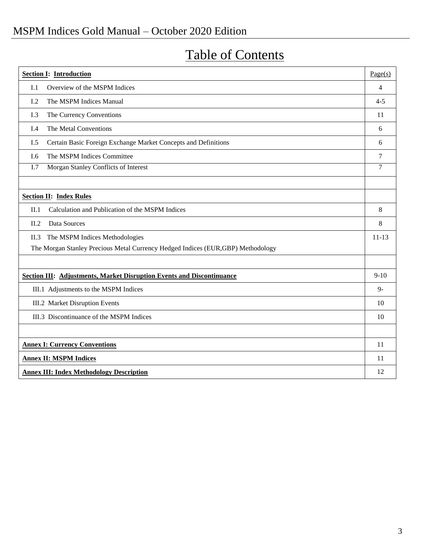### MSPM Indices Gold Manual – October 2020 Edition

| <b>Section I: Introduction</b>                                                   | Page(s)   |
|----------------------------------------------------------------------------------|-----------|
| I.1<br>Overview of the MSPM Indices                                              | 4         |
| The MSPM Indices Manual<br>I.2                                                   | $4 - 5$   |
| I.3<br>The Currency Conventions                                                  | 11        |
| The Metal Conventions<br>I.4                                                     | 6         |
| Certain Basic Foreign Exchange Market Concepts and Definitions<br>I.5            | 6         |
| The MSPM Indices Committee<br>I.6                                                | 7         |
| Morgan Stanley Conflicts of Interest<br>I.7                                      | 7         |
|                                                                                  |           |
| <b>Section II: Index Rules</b>                                                   |           |
| II.1<br>Calculation and Publication of the MSPM Indices                          | 8         |
| II.2<br>Data Sources                                                             | 8         |
| The MSPM Indices Methodologies<br>II.3                                           | $11 - 13$ |
| The Morgan Stanley Precious Metal Currency Hedged Indices (EUR, GBP) Methodology |           |
|                                                                                  |           |
| <b>Section III: Adjustments, Market Disruption Events and Discontinuance</b>     | $9-10$    |
| III.1 Adjustments to the MSPM Indices                                            | $9 -$     |
| III.2 Market Disruption Events                                                   | 10        |
| III.3 Discontinuance of the MSPM Indices                                         | 10        |
|                                                                                  |           |
| <b>Annex I: Currency Conventions</b>                                             | 11        |
| <b>Annex II: MSPM Indices</b>                                                    | 11        |
| <b>Annex III: Index Methodology Description</b>                                  | 12        |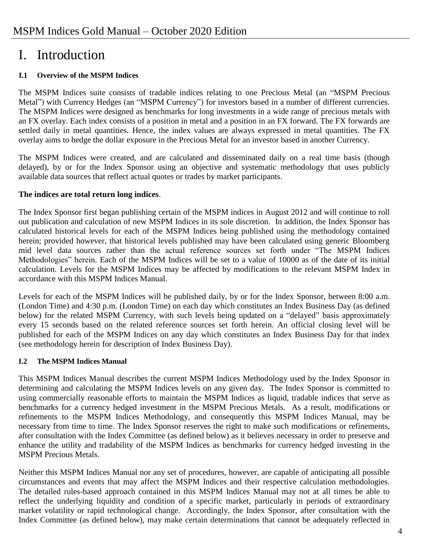### I. Introduction

#### **I.1 Overview of the MSPM Indices**

The MSPM Indices suite consists of tradable indices relating to one Precious Metal (an "MSPM Precious Metal") with Currency Hedges (an "MSPM Currency") for investors based in a number of different currencies. The MSPM Indices were designed as benchmarks for long investments in a wide range of precious metals with an FX overlay. Each index consists of a position in metal and a position in an FX forward. The FX forwards are settled daily in metal quantities. Hence, the index values are always expressed in metal quantities. The FX overlay aims to hedge the dollar exposure in the Precious Metal for an investor based in another Currency.

The MSPM Indices were created, and are calculated and disseminated daily on a real time basis (though delayed), by or for the Index Sponsor using an objective and systematic methodology that uses publicly available data sources that reflect actual quotes or trades by market participants.

#### **The indices are total return long indices**.

The Index Sponsor first began publishing certain of the MSPM indices in August 2012 and will continue to roll out publication and calculation of new MSPM Indices in its sole discretion. In addition, the Index Sponsor has calculated historical levels for each of the MSPM Indices being published using the methodology contained herein; provided however, that historical levels published may have been calculated using generic Bloomberg mid level data sources rather than the actual reference sources set forth under "The MSPM Indices Methodologies" herein. Each of the MSPM Indices will be set to a value of 10000 as of the date of its initial calculation. Levels for the MSPM Indices may be affected by modifications to the relevant MSPM Index in accordance with this MSPM Indices Manual.

Levels for each of the MSPM Indices will be published daily, by or for the Index Sponsor, between 8:00 a.m. (London Time) and 4:30 p.m. (London Time) on each day which constitutes an Index Business Day (as defined below) for the related MSPM Currency, with such levels being updated on a "delayed" basis approximately every 15 seconds based on the related reference sources set forth herein. An official closing level will be published for each of the MSPM Indices on any day which constitutes an Index Business Day for that index (see methodology herein for description of Index Business Day).

#### **I.2 The MSPM Indices Manual**

This MSPM Indices Manual describes the current MSPM Indices Methodology used by the Index Sponsor in determining and calculating the MSPM Indices levels on any given day. The Index Sponsor is committed to using commercially reasonable efforts to maintain the MSPM Indices as liquid, tradable indices that serve as benchmarks for a currency hedged investment in the MSPM Precious Metals. As a result, modifications or refinements to the MSPM Indices Methodology, and consequently this MSPM Indices Manual, may be necessary from time to time. The Index Sponsor reserves the right to make such modifications or refinements, after consultation with the Index Committee (as defined below) as it believes necessary in order to preserve and enhance the utility and tradability of the MSPM Indices as benchmarks for currency hedged investing in the MSPM Precious Metals.

Neither this MSPM Indices Manual nor any set of procedures, however, are capable of anticipating all possible circumstances and events that may affect the MSPM Indices and their respective calculation methodologies. The detailed rules-based approach contained in this MSPM Indices Manual may not at all times be able to reflect the underlying liquidity and condition of a specific market, particularly in periods of extraordinary market volatility or rapid technological change. Accordingly, the Index Sponsor, after consultation with the Index Committee (as defined below), may make certain determinations that cannot be adequately reflected in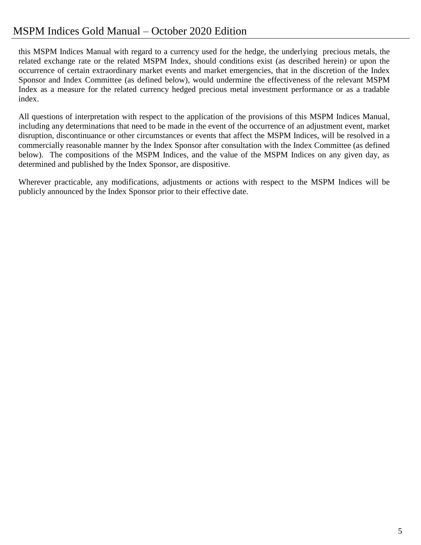### MSPM Indices Gold Manual – October 2020 Edition

this MSPM Indices Manual with regard to a currency used for the hedge, the underlying precious metals, the related exchange rate or the related MSPM Index, should conditions exist (as described herein) or upon the occurrence of certain extraordinary market events and market emergencies, that in the discretion of the Index Sponsor and Index Committee (as defined below), would undermine the effectiveness of the relevant MSPM Index as a measure for the related currency hedged precious metal investment performance or as a tradable index.

All questions of interpretation with respect to the application of the provisions of this MSPM Indices Manual, including any determinations that need to be made in the event of the occurrence of an adjustment event, market disruption, discontinuance or other circumstances or events that affect the MSPM Indices, will be resolved in a commercially reasonable manner by the Index Sponsor after consultation with the Index Committee (as defined below). The compositions of the MSPM Indices, and the value of the MSPM Indices on any given day, as determined and published by the Index Sponsor, are dispositive.

Wherever practicable, any modifications, adjustments or actions with respect to the MSPM Indices will be publicly announced by the Index Sponsor prior to their effective date.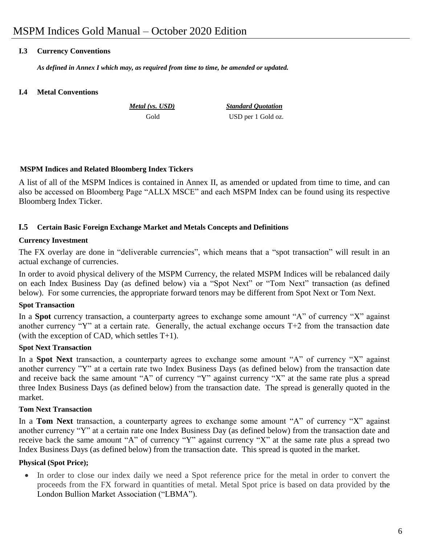#### **I.3 Currency Conventions**

*As defined in Annex I which may, as required from time to time, be amended or updated.*

#### **I.4 Metal Conventions**

 *Metal (vs. USD) Standard Quotation* Gold USD per 1 Gold oz.

#### **MSPM Indices and Related Bloomberg Index Tickers**

A list of all of the MSPM Indices is contained in Annex II, as amended or updated from time to time, and can also be accessed on Bloomberg Page "ALLX MSCE" and each MSPM Index can be found using its respective Bloomberg Index Ticker.

#### **I.5 Certain Basic Foreign Exchange Market and Metals Concepts and Definitions**

#### **Currency Investment**

The FX overlay are done in "deliverable currencies", which means that a "spot transaction" will result in an actual exchange of currencies.

In order to avoid physical delivery of the MSPM Currency, the related MSPM Indices will be rebalanced daily on each Index Business Day (as defined below) via a "Spot Next" or "Tom Next" transaction (as defined below). For some currencies, the appropriate forward tenors may be different from Spot Next or Tom Next.

#### **Spot Transaction**

In a **Spot** currency transaction, a counterparty agrees to exchange some amount "A" of currency "X" against another currency "Y" at a certain rate. Generally, the actual exchange occurs T+2 from the transaction date (with the exception of CAD, which settles T+1).

#### **Spot Next Transaction**

In a **Spot Next** transaction, a counterparty agrees to exchange some amount "A" of currency "X" against another currency "Y" at a certain rate two Index Business Days (as defined below) from the transaction date and receive back the same amount "A" of currency "Y" against currency "X" at the same rate plus a spread three Index Business Days (as defined below) from the transaction date. The spread is generally quoted in the market.

#### **Tom Next Transaction**

In a **Tom Next** transaction, a counterparty agrees to exchange some amount "A" of currency "X" against another currency "Y" at a certain rate one Index Business Day (as defined below) from the transaction date and receive back the same amount "A" of currency "Y" against currency "X" at the same rate plus a spread two Index Business Days (as defined below) from the transaction date. This spread is quoted in the market.

#### **Physical (Spot Price);**

 In order to close our index daily we need a Spot reference price for the metal in order to convert the proceeds from the FX forward in quantities of metal. Metal Spot price is based on data provided by the London Bullion Market Association ("LBMA").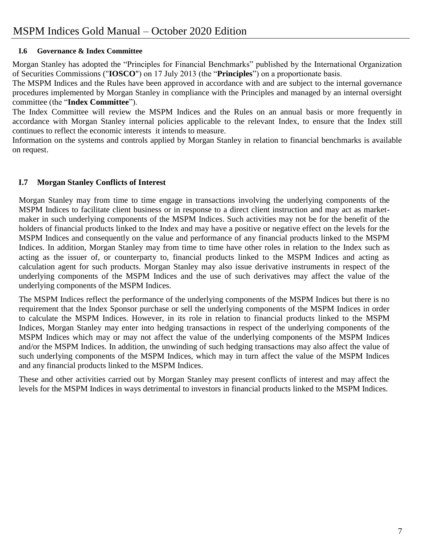#### **I.6 Governance & Index Committee**

Morgan Stanley has adopted the "Principles for Financial Benchmarks" published by the International Organization of Securities Commissions ("**IOSCO**") on 17 July 2013 (the "**Principles**") on a proportionate basis.

The MSPM Indices and the Rules have been approved in accordance with and are subject to the internal governance procedures implemented by Morgan Stanley in compliance with the Principles and managed by an internal oversight committee (the "**Index Committee**").

The Index Committee will review the MSPM Indices and the Rules on an annual basis or more frequently in accordance with Morgan Stanley internal policies applicable to the relevant Index, to ensure that the Index still continues to reflect the economic interests it intends to measure.

Information on the systems and controls applied by Morgan Stanley in relation to financial benchmarks is available on request.

#### **I.7 Morgan Stanley Conflicts of Interest**

Morgan Stanley may from time to time engage in transactions involving the underlying components of the MSPM Indices to facilitate client business or in response to a direct client instruction and may act as marketmaker in such underlying components of the MSPM Indices. Such activities may not be for the benefit of the holders of financial products linked to the Index and may have a positive or negative effect on the levels for the MSPM Indices and consequently on the value and performance of any financial products linked to the MSPM Indices. In addition, Morgan Stanley may from time to time have other roles in relation to the Index such as acting as the issuer of, or counterparty to, financial products linked to the MSPM Indices and acting as calculation agent for such products. Morgan Stanley may also issue derivative instruments in respect of the underlying components of the MSPM Indices and the use of such derivatives may affect the value of the underlying components of the MSPM Indices.

The MSPM Indices reflect the performance of the underlying components of the MSPM Indices but there is no requirement that the Index Sponsor purchase or sell the underlying components of the MSPM Indices in order to calculate the MSPM Indices. However, in its role in relation to financial products linked to the MSPM Indices, Morgan Stanley may enter into hedging transactions in respect of the underlying components of the MSPM Indices which may or may not affect the value of the underlying components of the MSPM Indices and/or the MSPM Indices. In addition, the unwinding of such hedging transactions may also affect the value of such underlying components of the MSPM Indices, which may in turn affect the value of the MSPM Indices and any financial products linked to the MSPM Indices.

These and other activities carried out by Morgan Stanley may present conflicts of interest and may affect the levels for the MSPM Indices in ways detrimental to investors in financial products linked to the MSPM Indices.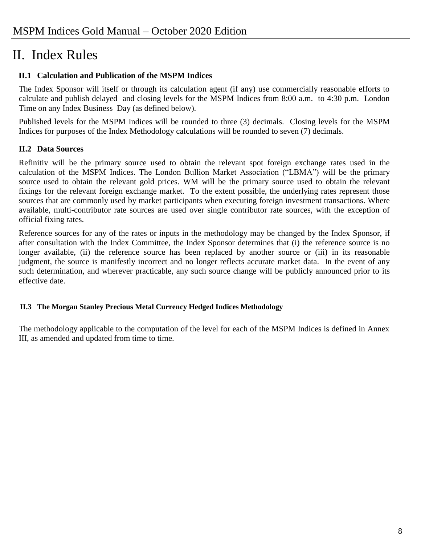## II. Index Rules

#### **II.1 Calculation and Publication of the MSPM Indices**

The Index Sponsor will itself or through its calculation agent (if any) use commercially reasonable efforts to calculate and publish delayed and closing levels for the MSPM Indices from 8:00 a.m. to 4:30 p.m. London Time on any Index Business Day (as defined below).

Published levels for the MSPM Indices will be rounded to three (3) decimals. Closing levels for the MSPM Indices for purposes of the Index Methodology calculations will be rounded to seven (7) decimals.

#### **II.2 Data Sources**

Refinitiv will be the primary source used to obtain the relevant spot foreign exchange rates used in the calculation of the MSPM Indices. The London Bullion Market Association ("LBMA") will be the primary source used to obtain the relevant gold prices. WM will be the primary source used to obtain the relevant fixings for the relevant foreign exchange market. To the extent possible, the underlying rates represent those sources that are commonly used by market participants when executing foreign investment transactions. Where available, multi-contributor rate sources are used over single contributor rate sources, with the exception of official fixing rates.

Reference sources for any of the rates or inputs in the methodology may be changed by the Index Sponsor, if after consultation with the Index Committee, the Index Sponsor determines that (i) the reference source is no longer available, (ii) the reference source has been replaced by another source or (iii) in its reasonable judgment, the source is manifestly incorrect and no longer reflects accurate market data. In the event of any such determination, and wherever practicable, any such source change will be publicly announced prior to its effective date.

#### **II.3 The Morgan Stanley Precious Metal Currency Hedged Indices Methodology**

The methodology applicable to the computation of the level for each of the MSPM Indices is defined in Annex III, as amended and updated from time to time.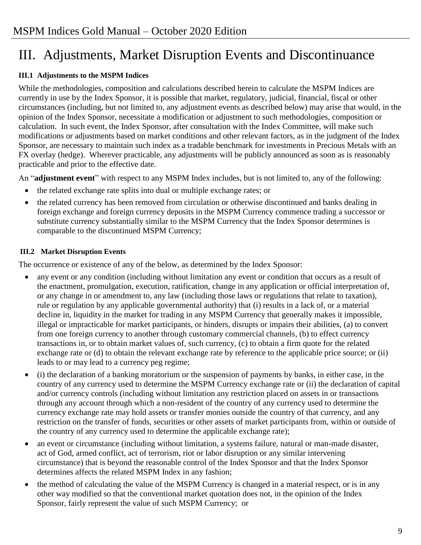## III. Adjustments, Market Disruption Events and Discontinuance

#### **III.1 Adjustments to the MSPM Indices**

While the methodologies, composition and calculations described herein to calculate the MSPM Indices are currently in use by the Index Sponsor, it is possible that market, regulatory, judicial, financial, fiscal or other circumstances (including, but not limited to, any adjustment events as described below) may arise that would, in the opinion of the Index Sponsor, necessitate a modification or adjustment to such methodologies, composition or calculation. In such event, the Index Sponsor, after consultation with the Index Committee, will make such modifications or adjustments based on market conditions and other relevant factors, as in the judgment of the Index Sponsor, are necessary to maintain such index as a tradable benchmark for investments in Precious Metals with an FX overlay (hedge). Wherever practicable, any adjustments will be publicly announced as soon as is reasonably practicable and prior to the effective date.

An "**adjustment event**" with respect to any MSPM Index includes, but is not limited to, any of the following:

- the related exchange rate splits into dual or multiple exchange rates; or
- the related currency has been removed from circulation or otherwise discontinued and banks dealing in foreign exchange and foreign currency deposits in the MSPM Currency commence trading a successor or substitute currency substantially similar to the MSPM Currency that the Index Sponsor determines is comparable to the discontinued MSPM Currency;

#### **III.2 Market Disruption Events**

The occurrence or existence of any of the below, as determined by the Index Sponsor:

- any event or any condition (including without limitation any event or condition that occurs as a result of the enactment, promulgation, execution, ratification, change in any application or official interpretation of, or any change in or amendment to, any law (including those laws or regulations that relate to taxation), rule or regulation by any applicable governmental authority) that (i) results in a lack of, or a material decline in, liquidity in the market for trading in any MSPM Currency that generally makes it impossible, illegal or impracticable for market participants, or hinders, disrupts or impairs their abilities, (a) to convert from one foreign currency to another through customary commercial channels, (b) to effect currency transactions in, or to obtain market values of, such currency, (c) to obtain a firm quote for the related exchange rate or (d) to obtain the relevant exchange rate by reference to the applicable price source; or (ii) leads to or may lead to a currency peg regime;
- (i) the declaration of a banking moratorium or the suspension of payments by banks, in either case, in the country of any currency used to determine the MSPM Currency exchange rate or (ii) the declaration of capital and/or currency controls (including without limitation any restriction placed on assets in or transactions through any account through which a non-resident of the country of any currency used to determine the currency exchange rate may hold assets or transfer monies outside the country of that currency, and any restriction on the transfer of funds, securities or other assets of market participants from, within or outside of the country of any currency used to determine the applicable exchange rate);
- an event or circumstance (including without limitation, a systems failure, natural or man-made disaster, act of God, armed conflict, act of terrorism, riot or labor disruption or any similar intervening circumstance) that is beyond the reasonable control of the Index Sponsor and that the Index Sponsor determines affects the related MSPM Index in any fashion;
- the method of calculating the value of the MSPM Currency is changed in a material respect, or is in any other way modified so that the conventional market quotation does not, in the opinion of the Index Sponsor, fairly represent the value of such MSPM Currency; or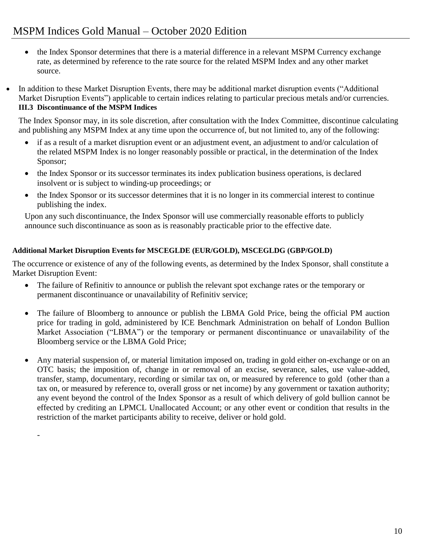- the Index Sponsor determines that there is a material difference in a relevant MSPM Currency exchange rate, as determined by reference to the rate source for the related MSPM Index and any other market source.
- In addition to these Market Disruption Events, there may be additional market disruption events ("Additional Market Disruption Events") applicable to certain indices relating to particular precious metals and/or currencies. **III.3 Discontinuance of the MSPM Indices**

The Index Sponsor may, in its sole discretion, after consultation with the Index Committee, discontinue calculating and publishing any MSPM Index at any time upon the occurrence of, but not limited to, any of the following:

- if as a result of a market disruption event or an adjustment event, an adjustment to and/or calculation of the related MSPM Index is no longer reasonably possible or practical, in the determination of the Index Sponsor;
- the Index Sponsor or its successor terminates its index publication business operations, is declared insolvent or is subject to winding-up proceedings; or
- the Index Sponsor or its successor determines that it is no longer in its commercial interest to continue publishing the index.

Upon any such discontinuance, the Index Sponsor will use commercially reasonable efforts to publicly announce such discontinuance as soon as is reasonably practicable prior to the effective date.

#### **Additional Market Disruption Events for MSCEGLDE (EUR/GOLD), MSCEGLDG (GBP/GOLD)**

-

The occurrence or existence of any of the following events, as determined by the Index Sponsor, shall constitute a Market Disruption Event:

- The failure of Refinitiv to announce or publish the relevant spot exchange rates or the temporary or permanent discontinuance or unavailability of Refinitiv service;
- The failure of Bloomberg to announce or publish the LBMA Gold Price, being the official PM auction price for trading in gold, administered by ICE Benchmark Administration on behalf of London Bullion Market Association ("LBMA") or the temporary or permanent discontinuance or unavailability of the Bloomberg service or the LBMA Gold Price;
- Any material suspension of, or material limitation imposed on, trading in gold either on-exchange or on an OTC basis; the imposition of, change in or removal of an excise, severance, sales, use value-added, transfer, stamp, documentary, recording or similar tax on, or measured by reference to gold (other than a tax on, or measured by reference to, overall gross or net income) by any government or taxation authority; any event beyond the control of the Index Sponsor as a result of which delivery of gold bullion cannot be effected by crediting an LPMCL Unallocated Account; or any other event or condition that results in the restriction of the market participants ability to receive, deliver or hold gold.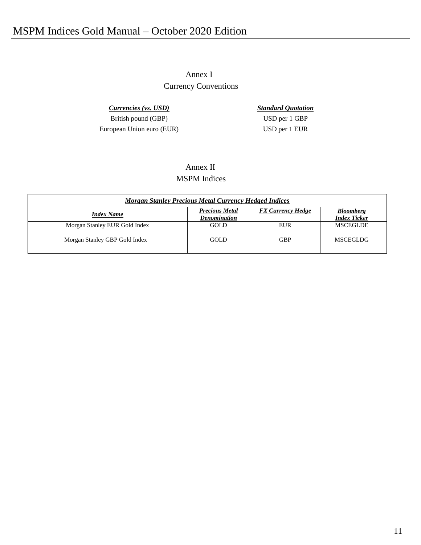Annex I Currency Conventions

*Currencies (vs. USD) Standard Quotation* British pound (GBP) USD per 1 GBP European Union euro (EUR) USD per 1 EUR

#### Annex II MSPM Indices

| <b>Morgan Stanley Precious Metal Currency Hedged Indices</b> |                                              |                          |                                         |  |
|--------------------------------------------------------------|----------------------------------------------|--------------------------|-----------------------------------------|--|
| <b>Index Name</b>                                            | <b>Precious Metal</b><br><b>Denomination</b> | <b>FX Currency Hedge</b> | <b>Bloomberg</b><br><b>Index Ticker</b> |  |
| Morgan Stanley EUR Gold Index                                | GOLD.                                        | EUR                      | <b>MSCEGLDE</b>                         |  |
| Morgan Stanley GBP Gold Index                                | GOLD.                                        | <b>GBP</b>               | <b>MSCEGLDG</b>                         |  |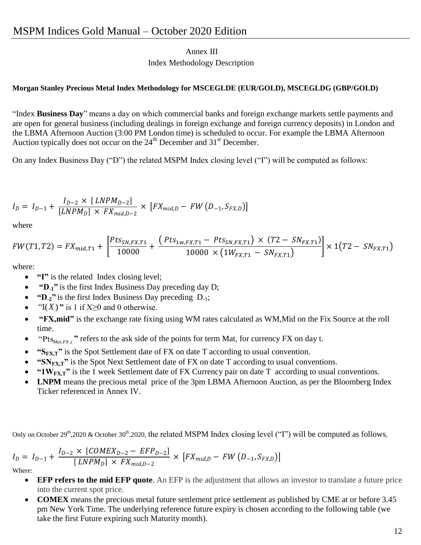#### Annex III Index Methodology Description

#### **Morgan Stanley Precious Metal Index Methodology for MSCEGLDE (EUR/GOLD), MSCEGLDG (GBP/GOLD)**

"Index **Business Day**" means a day on which commercial banks and foreign exchange markets settle payments and are open for general business (including dealings in foreign exchange and foreign currency deposits) in London and the LBMA Afternoon Auction (3:00 PM London time) is scheduled to occur. For example the LBMA Afternoon Auction typically does not occur on the  $24<sup>th</sup>$  December and  $31<sup>st</sup>$  December.

On any Index Business Day ("D") the related MSPM Index closing level ("I") will be computed as follows:

$$
I_D = I_{D-1} + \frac{I_{D-2} \times [LNPM_{D-2}]}{[LNPM_D] \times FX_{mid,D-2}} \times [FX_{mid,D} - FW (D_{-1}, S_{FX,D})]
$$

where

$$
FW(T1,T2) = FX_{mid,T1} + \left[ \frac{pts_{SN,FX,T1}}{10000} + \frac{\left(Pts_{1w,FX,T1} - Pts_{SN,FX,T1}\right) \times (T2 - SN_{FX,T1})}{10000 \times \left(1W_{FX,T1} - SN_{FX,T1}\right)} \right] \times 1\left(T2 - SN_{FX,T1}\right)
$$

where:

- **"I"** is the related Index closing level;
- **"D-1"** is the first Index Business Day preceding day D;
- **"D-2"** is the first Index Business Day preceding D-1;
- $\bullet$  "1(*X*)" is 1 if X≥0 and 0 otherwise.
- **"FX,mid"** is the exchange rate fixing using WM rates calculated as WM,Mid on the Fix Source at the roll time.
- "Pts<sub>Mat,FX</sub>, " refers to the ask side of the points for term Mat, for currency FX on day t.
- **"SFX,T"** is the Spot Settlement date of FX on date T according to usual convention.
- **"SN<sub>FX,T</sub>"** is the Spot Next Settlement date of FX on date T according to usual conventions.
- **"1WFX,T"** is the 1 week Settlement date of FX Currency pair on date T according to usual conventions.
- LNPM means the precious metal price of the 3pm LBMA Afternoon Auction, as per the Bloomberg Index Ticker referenced in Annex IV.

Only on October 29<sup>th</sup>,2020 & October 30<sup>th</sup>,2020, the related MSPM Index closing level ("I") will be computed as follows,

$$
I_D = I_{D-1} + \frac{I_{D-2} \times [COMEX_{D-2} - EFP_{D-2}]}{[LNPM_D] \times FX_{mid,D-2}} \times [FX_{mid,D} - FW (D_{-1}, S_{FX,D})]
$$

Where:

- **EFP refers to the mid EFP quote**. An EFP is the adjustment that allows an investor to translate a future price into the current spot price.
- **COMEX** means the precious metal future settlement price settlement as published by CME at or before 3.45 pm New York Time. The underlying reference future expiry is chosen according to the following table (we take the first Future expiring such Maturity month).